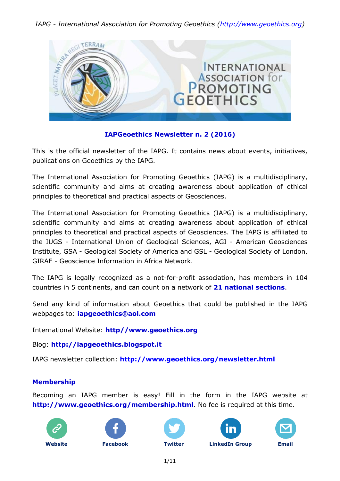

#### **IAPGeoethics Newsletter n. 2 (2016)**

This is the official newsletter of the IAPG. It contains news about events, initiatives, publications on Geoethics by the IAPG.

The International Association for Promoting Geoethics (IAPG) is a multidisciplinary, scientific community and aims at creating awareness about application of ethical principles to theoretical and practical aspects of Geosciences.

The International Association for Promoting Geoethics (IAPG) is a multidisciplinary, scientific community and aims at creating awareness about application of ethical principles to theoretical and practical aspects of Geosciences. The IAPG is affiliated to the IUGS - International Union of Geological Sciences, AGI - American Geosciences Institute, GSA - Geological Society of America and GSL - Geological Society of London, GIRAF - Geoscience Information in Africa Network.

The IAPG is legally recognized as a not-for-profit association, has members in 104 countries in 5 continents, and can count on a network of **21 [national sections](http://www.geoethics.org/sections.html)**.

Send any kind of information about Geoethics that could be published in the IAPG webpages to: **[iapgeoethics@aol.com](mailto:iapgeoethics@aol.com?subject=IAPG%20newsletter)**

International Website: **[http//www.geoethics.org](http://www.geoethics.org/)**

Blog: **[http://iapgeoethics.blogspot.it](http://iapgeoethics.blogspot.it/)**

IAPG newsletter collection: **<http://www.geoethics.org/newsletter.html>**

#### **Membership**

Becoming an IAPG member is easy! Fill in the form in the IAPG website at **<http://www.geoethics.org/membership.html>**. No fee is required at this time.











**[Website](http://www.geoethics.org/) [Facebook](https://www.facebook.com/pages/International-Association-for-Promoting-Geoethics-IAPG/102926009863246) [Twitter](https://twitter.com/IAPGeoethics) [LinkedIn](https://www.linkedin.com/grp/home?gid=4615518) Group [Email](mailto:iapgeoethics@aol.com)**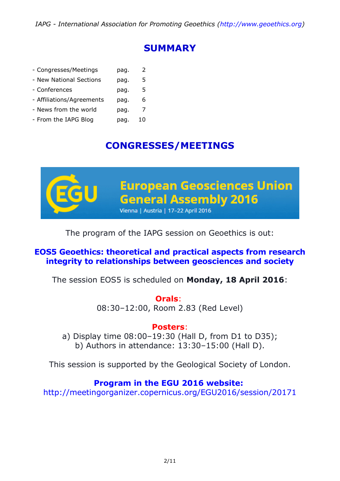# **SUMMARY**

| - Congresses/Meetings     | pag. | 2  |
|---------------------------|------|----|
| - New National Sections   | pag. | 5  |
| - Conferences             | pag. | 5  |
| - Affiliations/Agreements | pag. | 6  |
| - News from the world     | pag. | 7  |
| - From the IAPG Blog      | pag. | 10 |

# **CONGRESSES/MEETINGS**



# The program of the IAPG session on Geoethics is out:

## **[EOS5 Geoethics: theoretical and practical aspects from research](http://www.geoethics.org/#!egu2016-eos5/ly2oj)  [integrity to relationships between geosciences and society](http://www.geoethics.org/#!egu2016-eos5/ly2oj)**

The session EOS5 is scheduled on **Monday, 18 April 2016**:

**Orals**: 08:30–12:00, Room 2.83 (Red Level)

## **Posters**:

a) Display time 08:00–19:30 (Hall D, from D1 to D35); b) Authors in attendance: 13:30–15:00 (Hall D).

This session is supported by the Geological Society of London.

# **Program in the EGU 2016 website:**

<http://meetingorganizer.copernicus.org/EGU2016/session/20171>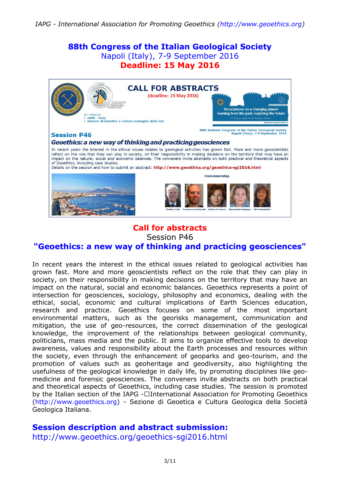# **88th Congress of the Italian Geological Society** Napoli (Italy), 7-9 September 2016 **Deadline: 15 May 2016 CALL FOR ABSTRACTS** (deadline: 15 May 2016)

Geosciences on a changing planet learning from the past, exploring the future

88th National Congress of the Italian Geological Society<br>Napoli (Italy), 7-9 September 2016

#### **Session P46**

#### Geoethics: a new way of thinking and practicing geosciences

Sezione di Geoetica e Cultura Geologica della SGI

In recent years the interest in the ethical issues related to geological activities has grown fast. More and more geoscientists In recent years the interest in the entire spherical acceleration of the responsibility in making decisions on the territory that may have an inpact on the note that they can play in society, on their responsibility in mak of Geoethics, including case studies.

Details on the session and how to submit an abstract: http://www.geoethics.org/geoethics-sgi2016.html



**TAPG - Ttaly** 



# **Call for abstracts**

Session P46

#### **["Geoethics: a new way of thinking](http://www.geoethics.org/geoethics-sgi2016.html) and practicing geosciences"**

In recent years the interest in the ethical issues related to geological activities has grown fast. More and more geoscientists reflect on the role that they can play in society, on their responsibility in making decisions on the territory that may have an impact on the natural, social and economic balances. Geoethics represents a point of intersection for geosciences, sociology, philosophy and economics, dealing with the ethical, social, economic and cultural implications of Earth Sciences education, research and practice. Geoethics focuses on some of the most important environmental matters, such as the georisks management, communication and mitigation, the use of geo-resources, the correct dissemination of the geological knowledge, the improvement of the relationships between geological community, politicians, mass media and the public. It aims to organize effective tools to develop awareness, values and responsibility about the Earth processes and resources within the society, even through the enhancement of geoparks and geo-tourism, and the promotion of values such as geoheritage and geodiversity, also highlighting the usefulness of the geological knowledge in daily life, by promoting disciplines like geomedicine and forensic geosciences. The conveners invite abstracts on both practical and theoretical aspects of Geoethics, including case studies. The session is promoted by the Italian section of the IAPG -€ International Association for Promoting Geoethics [\(http://www.geoethics.org\)](http://www.geoethics.org/) - Sezione di Geoetica e Cultura Geologica della Società Geologica Italiana.

#### **Session description and abstract submission:**

<http://www.geoethics.org/geoethics-sgi2016.html>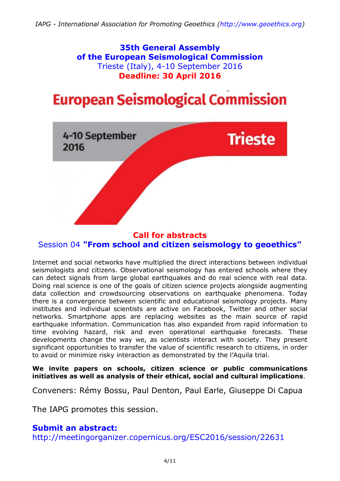**35th General Assembly of the European Seismological Commission** Trieste (Italy), 4-10 September 2016 **Deadline: 30 April 2016**

# **European Seismological Commission**



### **Call for abstracts** Session 04 **["From school and citizen seismology to geoethics"](http://meetingorganizer.copernicus.org/ESC2016/session/22631)**

Internet and social networks have multiplied the direct interactions between individual seismologists and citizens. Observational seismology has entered schools where they can detect signals from large global earthquakes and do real science with real data. Doing real science is one of the goals of citizen science projects alongside augmenting data collection and crowdsourcing observations on earthquake phenomena. Today there is a convergence between scientific and educational seismology projects. Many institutes and individual scientists are active on Facebook, Twitter and other social networks. Smartphone apps are replacing websites as the main source of rapid earthquake information. Communication has also expanded from rapid information to time evolving hazard, risk and even operational earthquake forecasts. These developments change the way we, as scientists interact with society. They present significant opportunities to transfer the value of scientific research to citizens, in order to avoid or minimize risky interaction as demonstrated by the l'Aquila trial.

**We invite papers on schools, citizen science or public communications initiatives as well as analysis of their ethical, social and cultural implications**.

Conveners: Rémy Bossu, Paul Denton, Paul Earle, Giuseppe Di Capua

The IAPG promotes this session.

## **Submit an abstract:**

<http://meetingorganizer.copernicus.org/ESC2016/session/22631>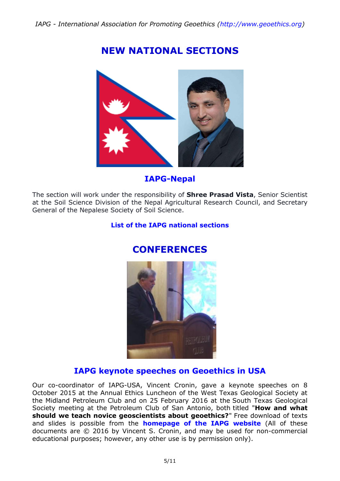# **NEW NATIONAL SECTIONS**



**IAPG-Nepal**

The section will work under the responsibility of **Shree Prasad Vista**, Senior Scientist at the Soil Science Division of the Nepal Agricultural Research Council, and Secretary General of the Nepalese Society of Soil Science.

#### **List [of the IAPG national sections](http://www.geoethics.org/sections.html)**



# **CONFERENCES**

## **IAPG keynote speeches on Geoethics in USA**

Our co-coordinator of IAPG-USA, Vincent Cronin, gave a keynote speeches on 8 October 2015 at the Annual Ethics Luncheon of the West Texas Geological Society at the Midland Petroleum Club and on 25 February 2016 at the South Texas Geological Society meeting at the Petroleum Club of San Antonio, both titled "**How and what should we teach novice geoscientists about geoethics?**" Free download of texts and slides is possible from the **[homepage of the IAPG](http://www.geoethics.org/) website** (All of these documents are © 2016 by Vincent S. Cronin, and may be used for non-commercial educational purposes; however, any other use is by permission only).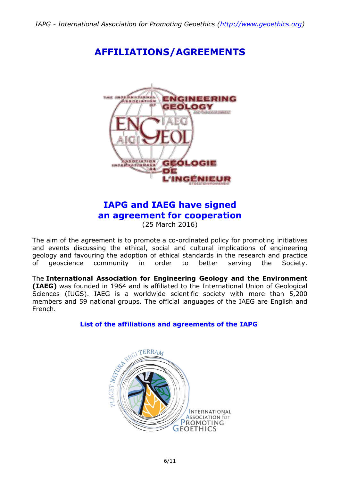**AFFILIATIONS/AGREEMENTS**



# **IAPG and IAEG have signed an agreement for cooperation**

(25 March 2016)

The aim of the agreement is to promote a co-ordinated policy for promoting initiatives and events discussing the ethical, social and cultural implications of engineering geology and favouring the adoption of ethical standards in the research and practice of geoscience community in order to better serving the Society.

The **International Association for Engineering Geology and the Environment (IAEG)** was founded in 1964 and is affiliated to the International Union of Geological Sciences (IUGS). IAEG is a worldwide scientific society with more than 5,200 members and 59 national groups. The official languages of the IAEG are English and French.

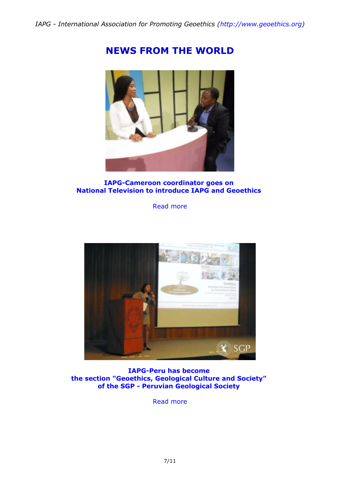



#### **IAPG-Cameroon coordinator goes on National Television to introduce IAPG and Geoethics**

[Read more](http://iapgeoethics.blogspot.it/2016/04/iapg-cameroon-coordinator-goes-on.html)



**IAPG-Peru has become the section "Geoethics, Geological Culture and Society" of the SGP - Peruvian Geological Society**

[Read more](http://iapgeoethics.blogspot.it/2016/04/iapg-peru-has-become-section-geoethics.html)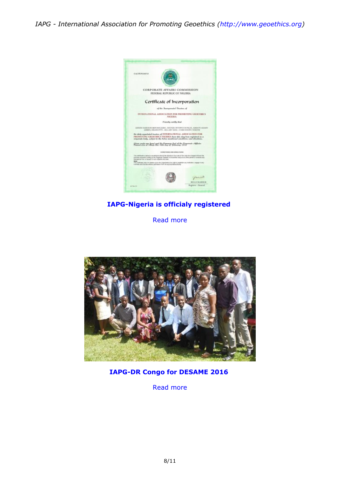

#### **IAPG-Nigeria is officialy registered**

[Read more](http://iapgeoethics.blogspot.it/2016/02/news-from-nigeria-from-16-february-2016.html)



#### **IAPG-DR Congo for DESAME 2016**

[Read more](http://iapgeoethics.blogspot.it/2016/02/iapg-network-desame-2016-in-democratic.html)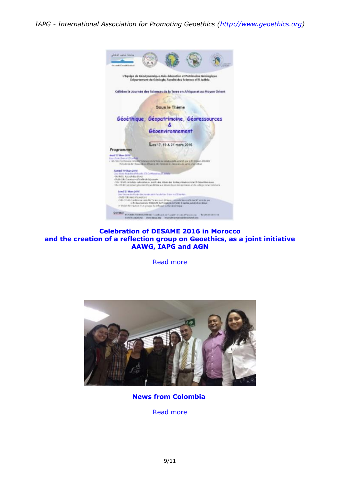

#### **Celebration of DESAME 2016 in Morocco and the creation of a reflection group on Geoethics, as a joint initiative AAWG, IAPG and AGN**

[Read more](http://iapgeoethics.blogspot.it/2016/03/geoethics-great-news-from-morocco.html)



**News from Colombia**

[Read more](http://iapgeoethics.blogspot.it/2016/02/news-from-colombia-we-wish-to-thank-our.html)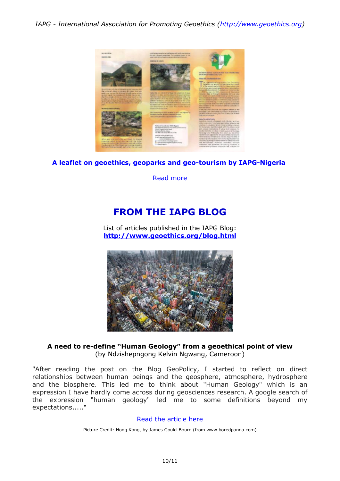

#### **A leaflet on geoethics, geoparks and geo-tourism by IAPG-Nigeria**

[Read more](http://iapgeoethics.blogspot.it/2016/02/a-leaflet-on-geoethics-geoparks-and-geo.html)

# **FROM THE IAPG BLOG**

List of articles published in the IAPG Blog: **<http://www.geoethics.org/blog.html>**



#### **A need to re-define "Human Geology" from a geoethical point of view** (by Ndzishepngong Kelvin Ngwang, Cameroon)

"After reading the post on the Blog GeoPolicy, I started to reflect on direct relationships between human beings and the geosphere, atmosphere, hydrosphere and the biosphere. This led me to think about "Human Geology" which is an expression I have hardly come across during geosciences research. A google search of the expression "human geology" led me to some definitions beyond my expectations....."

#### [Read the article here](http://iapgeoethics.blogspot.it/2016/03/a-need-to-re-define-human-geology-from.html)

Picture Credit: Hong Kong, by James Gould-Bourn (from www.boredpanda.com)